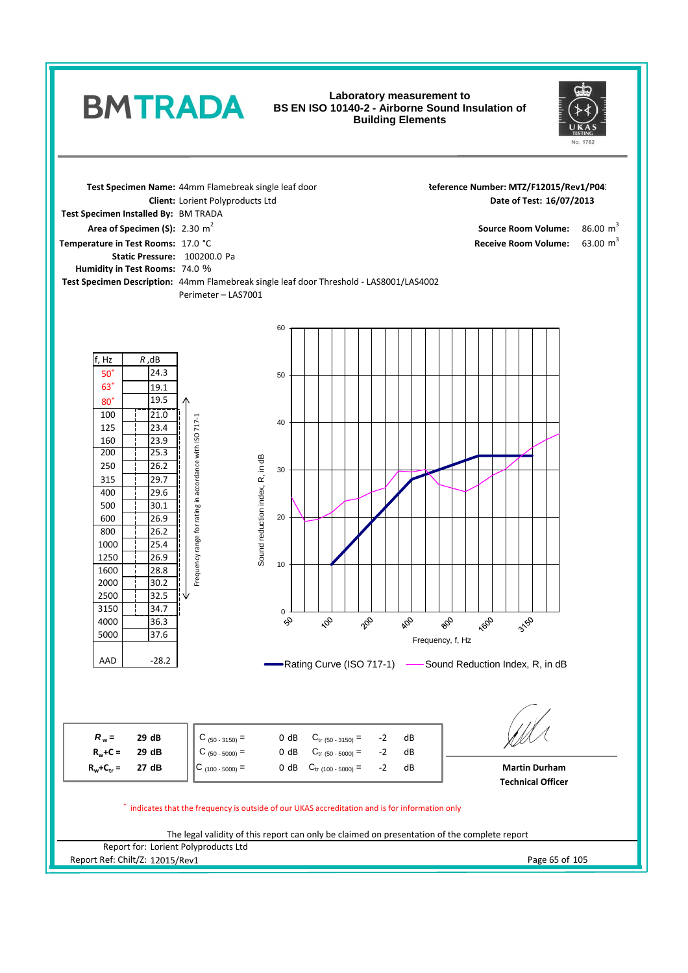